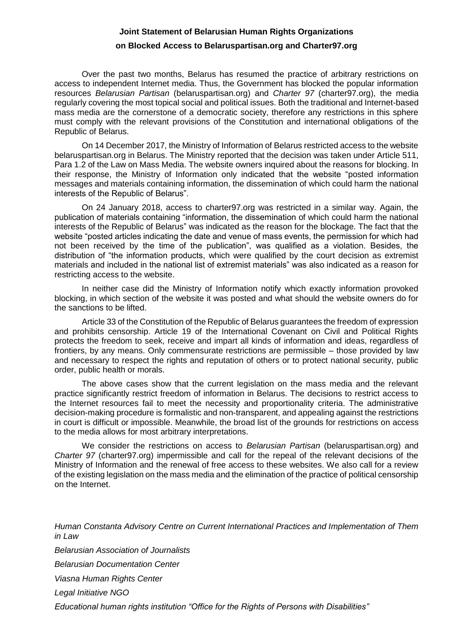## **Joint Statement of Belarusian Human Rights Organizations on Blocked Access to Belaruspartisan.org and Charter97.org**

Over the past two months, Belarus has resumed the practice of arbitrary restrictions on access to independent Internet media. Thus, the Government has blocked the popular information resources *Belarusian Partisan* (belaruspartisan.org) and *Charter 97* (charter97.org), the media regularly covering the most topical social and political issues. Both the traditional and Internet-based mass media are the cornerstone of a democratic society, therefore any restrictions in this sphere must comply with the relevant provisions of the Constitution and international obligations of the Republic of Belarus.

On 14 December 2017, the Ministry of Information of Belarus restricted access to the website belaruspartisan.org in Belarus. The Ministry reported that the decision was taken under Article 511, Para 1.2 of the Law on Mass Media. The website owners inquired about the reasons for blocking. In their response, the Ministry of Information only indicated that the website "posted information messages and materials containing information, the dissemination of which could harm the national interests of the Republic of Belarus".

On 24 January 2018, access to charter97.org was restricted in a similar way. Again, the publication of materials containing "information, the dissemination of which could harm the national interests of the Republic of Belarus" was indicated as the reason for the blockage. The fact that the website "posted articles indicating the date and venue of mass events, the permission for which had not been received by the time of the publication", was qualified as a violation. Besides, the distribution of "the information products, which were qualified by the court decision as extremist materials and included in the national list of extremist materials" was also indicated as a reason for restricting access to the website.

In neither case did the Ministry of Information notify which exactly information provoked blocking, in which section of the website it was posted and what should the website owners do for the sanctions to be lifted.

Article 33 of the Constitution of the Republic of Belarus guarantees the freedom of expression and prohibits censorship. Article 19 of the International Covenant on Civil and Political Rights protects the freedom to seek, receive and impart all kinds of information and ideas, regardless of frontiers, by any means. Only commensurate restrictions are permissible – those provided by law and necessary to respect the rights and reputation of others or to protect national security, public order, public health or morals.

The above cases show that the current legislation on the mass media and the relevant practice significantly restrict freedom of information in Belarus. The decisions to restrict access to the Internet resources fail to meet the necessity and proportionality criteria. The administrative decision-making procedure is formalistic and non-transparent, and appealing against the restrictions in court is difficult or impossible. Meanwhile, the broad list of the grounds for restrictions on access to the media allows for most arbitrary interpretations.

We consider the restrictions on access to *Belarusian Partisan* (belaruspartisan.org) and *Charter 97* (charter97.org) impermissible and call for the repeal of the relevant decisions of the Ministry of Information and the renewal of free access to these websites. We also call for a review of the existing legislation on the mass media and the elimination of the practice of political censorship on the Internet.

*Human Constanta Advisory Centre on Current International Practices and Implementation of Them in Law*

*Belarusian Association of Journalists*

*Belarusian Documentation Center*

*Viasna Human Rights Center*

*Legal Initiative NGO* 

*Educational human rights institution "Office for the Rights of Persons with Disabilities"*